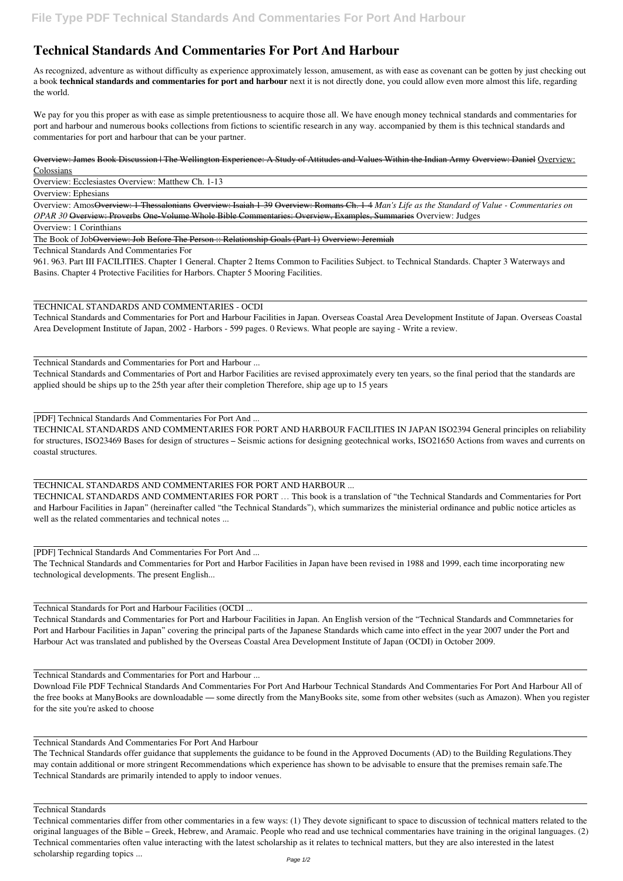## **Technical Standards And Commentaries For Port And Harbour**

As recognized, adventure as without difficulty as experience approximately lesson, amusement, as with ease as covenant can be gotten by just checking out a book **technical standards and commentaries for port and harbour** next it is not directly done, you could allow even more almost this life, regarding the world.

We pay for you this proper as with ease as simple pretentiousness to acquire those all. We have enough money technical standards and commentaries for port and harbour and numerous books collections from fictions to scientific research in any way. accompanied by them is this technical standards and commentaries for port and harbour that can be your partner.

Overview: James Book Discussion | The Wellington Experience: A Study of Attitudes and Values Within the Indian Army Overview: Daniel Overview: **Colossians** 

Overview: Ecclesiastes Overview: Matthew Ch. 1-13

Overview: Ephesians

Overview: AmosOverview: 1 Thessalonians Overview: Isaiah 1-39 Overview: Romans Ch. 1-4 *Man's Life as the Standard of Value - Commentaries on OPAR 30* Overview: Proverbs One-Volume Whole Bible Commentaries: Overview, Examples, Summaries Overview: Judges

Overview: 1 Corinthians

The Book of JobOverview: Job Before The Person :: Relationship Goals (Part 1) Overview: Jeremiah

Technical Standards And Commentaries For

961. 963. Part III FACILITIES. Chapter 1 General. Chapter 2 Items Common to Facilities Subject. to Technical Standards. Chapter 3 Waterways and Basins. Chapter 4 Protective Facilities for Harbors. Chapter 5 Mooring Facilities.

## TECHNICAL STANDARDS AND COMMENTARIES - OCDI

Technical Standards and Commentaries for Port and Harbour Facilities in Japan. Overseas Coastal Area Development Institute of Japan. Overseas Coastal Area Development Institute of Japan, 2002 - Harbors - 599 pages. 0 Reviews. What people are saying - Write a review.

Technical Standards and Commentaries for Port and Harbour ...

Technical Standards and Commentaries of Port and Harbor Facilities are revised approximately every ten years, so the final period that the standards are applied should be ships up to the 25th year after their completion Therefore, ship age up to 15 years

[PDF] Technical Standards And Commentaries For Port And ...

TECHNICAL STANDARDS AND COMMENTARIES FOR PORT AND HARBOUR FACILITIES IN JAPAN ISO2394 General principles on reliability for structures, ISO23469 Bases for design of structures – Seismic actions for designing geotechnical works, ISO21650 Actions from waves and currents on coastal structures.

TECHNICAL STANDARDS AND COMMENTARIES FOR PORT AND HARBOUR ... TECHNICAL STANDARDS AND COMMENTARIES FOR PORT … This book is a translation of "the Technical Standards and Commentaries for Port and Harbour Facilities in Japan" (hereinafter called "the Technical Standards"), which summarizes the ministerial ordinance and public notice articles as well as the related commentaries and technical notes ...

[PDF] Technical Standards And Commentaries For Port And ...

The Technical Standards and Commentaries for Port and Harbor Facilities in Japan have been revised in 1988 and 1999, each time incorporating new technological developments. The present English...

Technical Standards for Port and Harbour Facilities (OCDI ...

Technical Standards and Commentaries for Port and Harbour Facilities in Japan. An English version of the "Technical Standards and Commnetaries for Port and Harbour Facilities in Japan" covering the principal parts of the Japanese Standards which came into effect in the year 2007 under the Port and Harbour Act was translated and published by the Overseas Coastal Area Development Institute of Japan (OCDI) in October 2009.

Technical Standards and Commentaries for Port and Harbour ...

Download File PDF Technical Standards And Commentaries For Port And Harbour Technical Standards And Commentaries For Port And Harbour All of the free books at ManyBooks are downloadable — some directly from the ManyBooks site, some from other websites (such as Amazon). When you register for the site you're asked to choose

Technical Standards And Commentaries For Port And Harbour

The Technical Standards offer guidance that supplements the guidance to be found in the Approved Documents (AD) to the Building Regulations.They may contain additional or more stringent Recommendations which experience has shown to be advisable to ensure that the premises remain safe.The Technical Standards are primarily intended to apply to indoor venues.

Technical Standards

Technical commentaries differ from other commentaries in a few ways: (1) They devote significant to space to discussion of technical matters related to the original languages of the Bible – Greek, Hebrew, and Aramaic. People who read and use technical commentaries have training in the original languages. (2) Technical commentaries often value interacting with the latest scholarship as it relates to technical matters, but they are also interested in the latest scholarship regarding topics ...